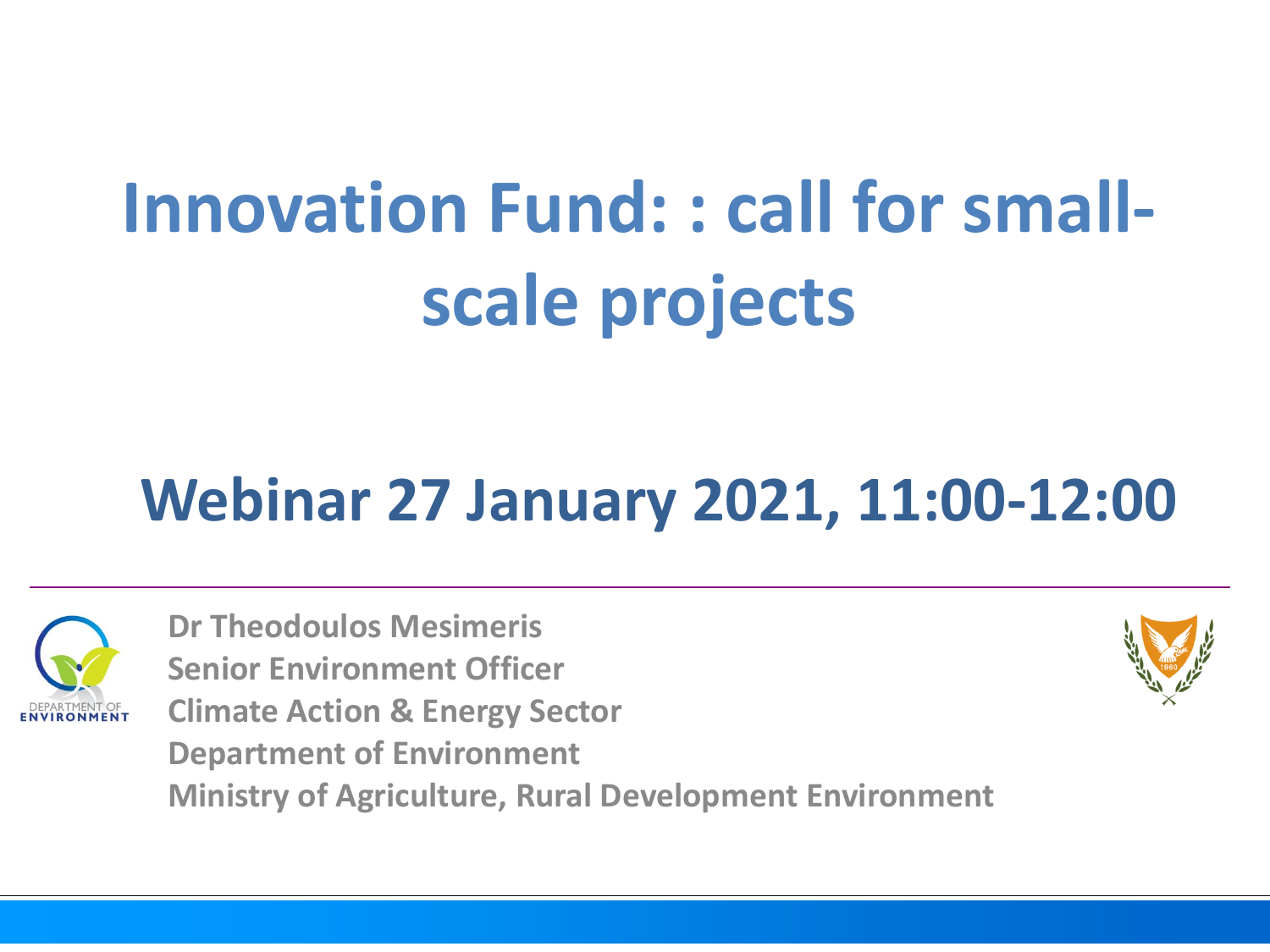## **Innovation Fund: : call for smallscale projects**

## **Webinar 27 January 2021, 11:00-12:00**



**Dr Theodoulos Mesimeris Senior Environment Officer Climate Action & Energy Sector Department of Environment Ministry of Agriculture, Rural Development Environment**

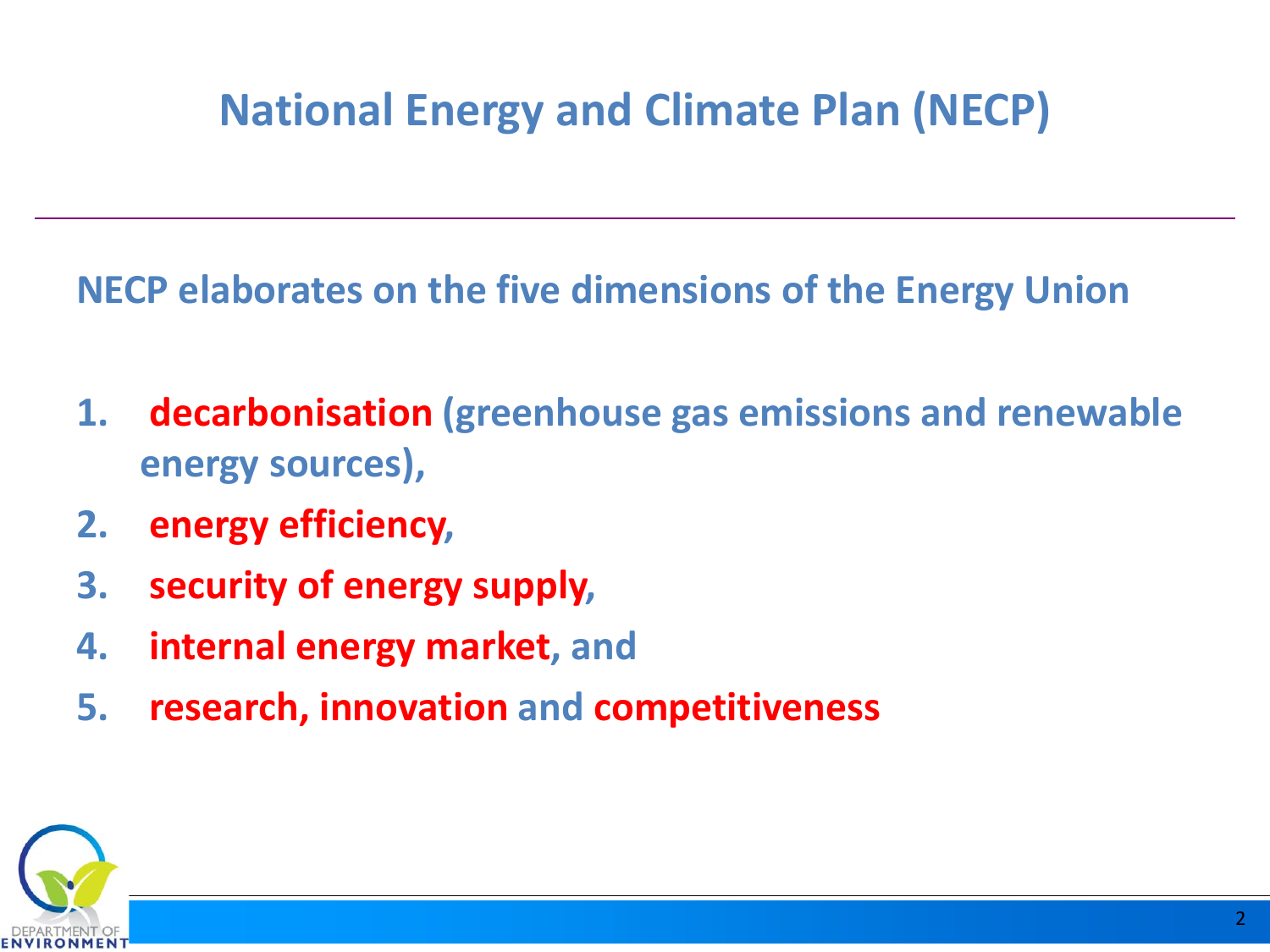## **National Energy and Climate Plan (NECP)**

**NECP elaborates on the five dimensions of the Energy Union**

- **1. decarbonisation (greenhouse gas emissions and renewable energy sources),**
- **2. energy efficiency,**
- **3. security of energy supply,**
- **4. internal energy market, and**
- **5. research, innovation and competitiveness**

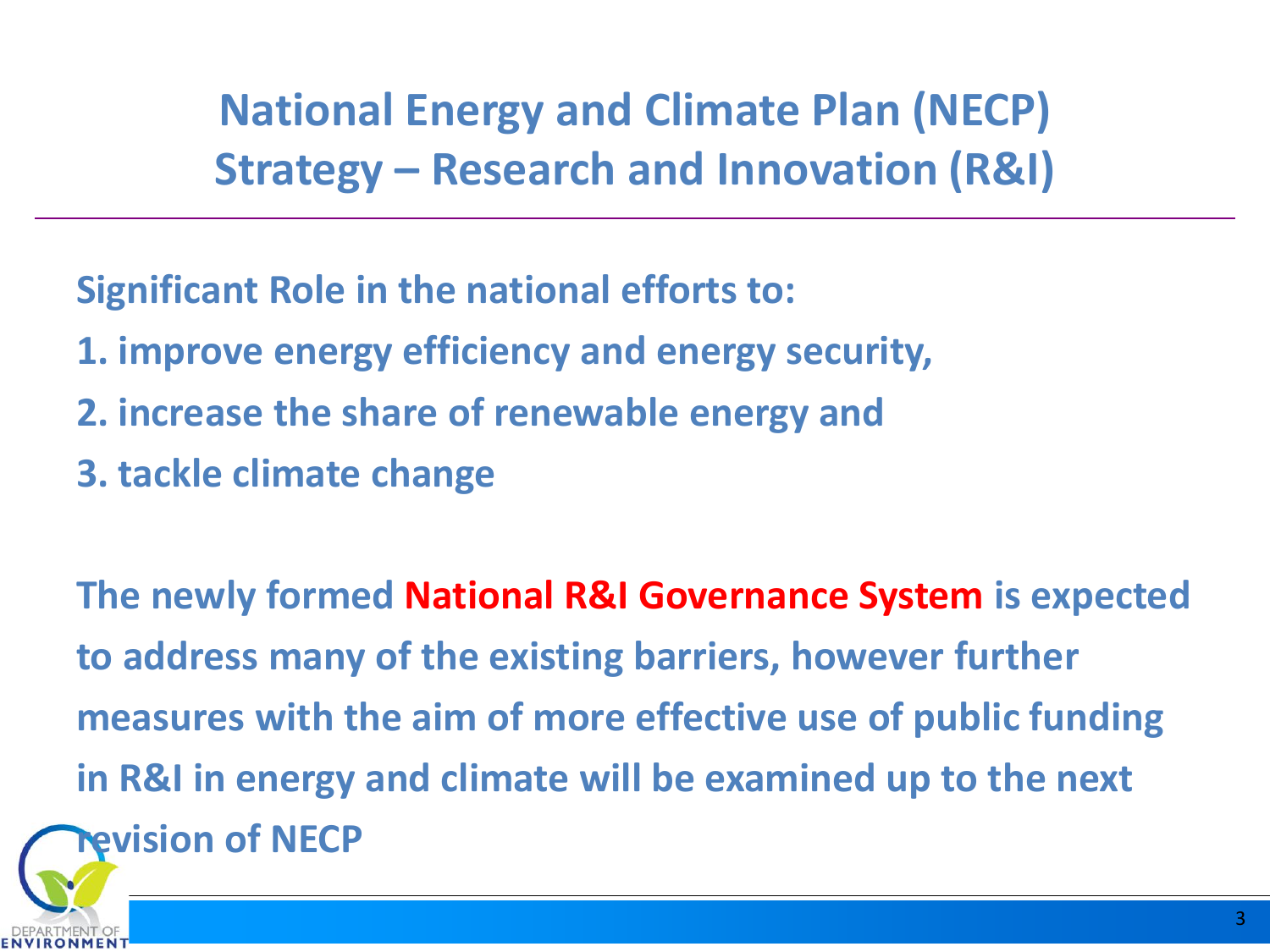**National Energy and Climate Plan (NECP) Strategy – Research and Innovation (R&I)**

**Significant Role in the national efforts to:**

- **1. improve energy efficiency and energy security,**
- **2. increase the share of renewable energy and**
- **3. tackle climate change**

**The newly formed National R&I Governance System is expected to address many of the existing barriers, however further measures with the aim of more effective use of public funding in R&I in energy and climate will be examined up to the next revision of NECP**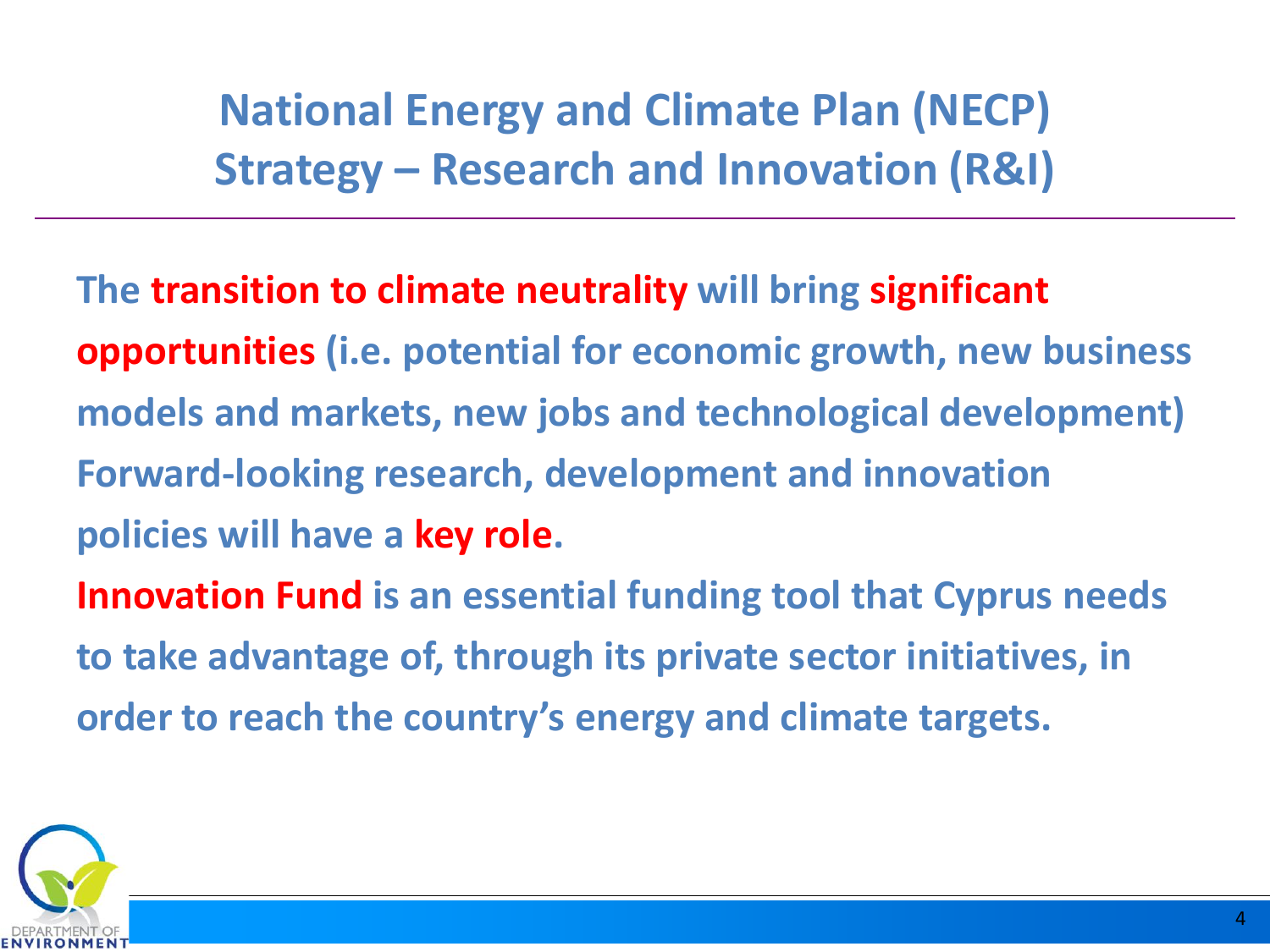**National Energy and Climate Plan (NECP) Strategy – Research and Innovation (R&I)**

**The transition to climate neutrality will bring significant opportunities (i.e. potential for economic growth, new business models and markets, new jobs and technological development) Forward-looking research, development and innovation policies will have a key role. Innovation Fund is an essential funding tool that Cyprus needs to take advantage of, through its private sector initiatives, in order to reach the country's energy and climate targets.**